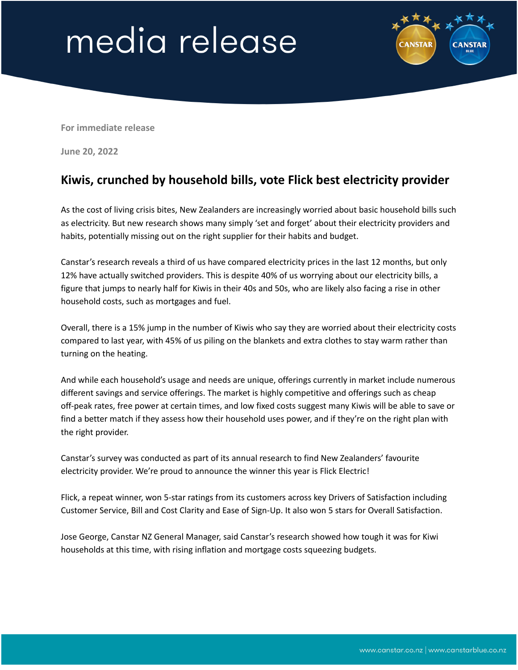## media release



**For immediate release**

**June 20, 2022**

## **Kiwis, crunched by household bills, vote Flick best electricity provider**

As the cost of living crisis bites, New Zealanders are increasingly worried about basic household bills such as electricity. But new research shows many simply 'set and forget' about their electricity providers and habits, potentially missing out on the right supplier for their habits and budget.

Canstar's research reveals a third of us have compared electricity prices in the last 12 months, but only 12% have actually switched providers. This is despite 40% of us worrying about our electricity bills, a figure that jumps to nearly half for Kiwis in their 40s and 50s, who are likely also facing a rise in other household costs, such as mortgages and fuel.

Overall, there is a 15% jump in the number of Kiwis who say they are worried about their electricity costs compared to last year, with 45% of us piling on the blankets and extra clothes to stay warm rather than turning on the heating.

And while each household's usage and needs are unique, offerings currently in market include numerous different savings and service offerings. The market is highly competitive and offerings such as cheap off-peak rates, free power at certain times, and low fixed costs suggest many Kiwis will be able to save or find a better match if they assess how their household uses power, and if they're on the right plan with the right provider.

Canstar's survey was conducted as part of its annual research to find New Zealanders' favourite electricity provider. We're proud to announce the winner this year is Flick Electric!

Flick, a repeat winner, won 5-star ratings from its customers across key Drivers of Satisfaction including Customer Service, Bill and Cost Clarity and Ease of Sign-Up. It also won 5 stars for Overall Satisfaction.

Jose George, Canstar NZ General Manager, said Canstar's research showed how tough it was for Kiwi households at this time, with rising inflation and mortgage costs squeezing budgets.